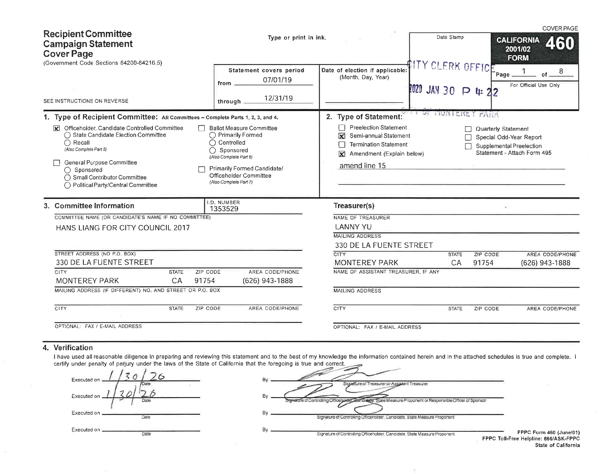| <b>Recipient Committee</b><br><b>Campaign Statement</b><br><b>Cover Page</b><br>(Government Code Sections 84200-84216.5)                                                                                                                                                                                                                                                                                                                                                                                                                                           | Type or print in ink.                                                                                                                                                                                                                                                                                            |                                                                                                                                                                                                                           | Date Stamp                              |                               | <b>COVER PAGE</b><br><b>CALIFORNIA</b><br>460<br>2001/02<br><b>FORM</b> |
|--------------------------------------------------------------------------------------------------------------------------------------------------------------------------------------------------------------------------------------------------------------------------------------------------------------------------------------------------------------------------------------------------------------------------------------------------------------------------------------------------------------------------------------------------------------------|------------------------------------------------------------------------------------------------------------------------------------------------------------------------------------------------------------------------------------------------------------------------------------------------------------------|---------------------------------------------------------------------------------------------------------------------------------------------------------------------------------------------------------------------------|-----------------------------------------|-------------------------------|-------------------------------------------------------------------------|
| SEE INSTRUCTIONS ON REVERSE                                                                                                                                                                                                                                                                                                                                                                                                                                                                                                                                        | Statement covers period<br>07/01/19<br>from _<br>12/31/19<br>through.                                                                                                                                                                                                                                            | Date of election if applicable:<br>(Month, Day, Year)                                                                                                                                                                     | ITY CLERK OFFICE<br>2020 JAN 30 P 4: 22 | Page                          | 8<br>of.<br>For Official Use Only                                       |
| 1. Type of Recipient Committee: All Committees - Complete Parts 1, 2, 3, and 4.<br>Officeholder, Candidate Controlled Committee<br><b>Ballot Measure Committee</b><br>$\overline{\mathbf{x}}$<br>◯ State Candidate Election Committee<br>◯ Primarily Formed<br>$\bigcap$ Recall<br>$\bigcap$ Controlled<br>(Also Complete Part 5)<br>(Also Complete Part 6)<br>General Purpose Committee<br>Primarily Formed Candidate/<br>◯ Sponsored<br>Officeholder Committee<br>◯ Small Contributor Committee<br>(Also Complete Part 7)<br>◯ Political Party/Central Committee | OF HUNTERE<br>2. Type of Statement:<br><b>TANA</b><br><b>Preelection Statement</b><br>Quarterly Statement<br>Semi-annual Statement<br>⊠<br>Special Odd-Year Report<br><b>Termination Statement</b><br>Supplemental Preelection<br>Statement - Attach Form 495<br>Amendment (Explain below)<br>⊠<br>amend line 15 |                                                                                                                                                                                                                           |                                         |                               |                                                                         |
| 3. Committee Information<br>COMMITTEE NAME (OR CANDIDATE'S NAME IF NO COMMITTEE)<br>HANS LIANG FOR CITY COUNCIL 2017<br>STREET ADDRESS (NO P.O. BOX)<br>330 DE LA FUENTE STREET<br><b>CITY</b><br>ZIP CODE<br><b>STATE</b><br>91754<br><b>MONTEREY PARK</b><br>CA<br>MAILING ADDRESS (IF DIFFERENT) NO. AND STREET OR P.O. BOX<br><b>CITY</b><br><b>STATE</b><br>ZIP CODE                                                                                                                                                                                          | I.D. NUMBER<br>1353529<br>AREA CODE/PHONE<br>(626) 943-1888<br>AREA CODE/PHONE                                                                                                                                                                                                                                   | Treasurer(s)<br>NAME OF TREASURER<br><b>LANNY YU</b><br><b>MAILING ADDRESS</b><br>330 DE LA FUENTE STREET<br>CITY<br><b>MONTEREY PARK</b><br>NAME OF ASSISTANT TREASURER, IF ANY<br><b>MAILING ADDRESS</b><br><b>CITY</b> | <b>STATE</b><br>CA<br><b>STATE</b>      | ZIP CODE<br>91754<br>ZIP CODE | AREA CODE/PHONE<br>(626) 943-1888<br>AREA CODE/PHONE                    |
| OPTIONAL: FAX / E-MAIL ADDRESS                                                                                                                                                                                                                                                                                                                                                                                                                                                                                                                                     |                                                                                                                                                                                                                                                                                                                  | OPTIONAL: FAX / E-MAIL ADDRESS                                                                                                                                                                                            |                                         |                               |                                                                         |

## 4. Verification

I have used all reasonable diligence in preparing and reviewing this statement and to the best of my knowledge the information contained herein and in the attached schedules is true and complete. I certify under penalty of

 $\sim$ 

| Executed on                 |  |
|-----------------------------|--|
| Executed on                 |  |
| Pate<br>Executed on<br>Date |  |
| Executed on $\equiv$        |  |

|    | www.company is were did concept                                                                                |
|----|----------------------------------------------------------------------------------------------------------------|
| Bγ | Signature of Treasurer or Assistant Treasurer                                                                  |
| By | Candidate, State Measure Proponent or Responsible Officer of Sponsor<br>StewardTe of Controlling Officeholder, |
| Bv | Signature of Controlling Officeholder, Candidate, State Measure Proponent                                      |
| Bγ | Signature of Controlling Officeholder Candidate, State Measure Proponent                                       |
|    | <b>FPPC Toll-</b>                                                                                              |

 $\mathcal{N}$